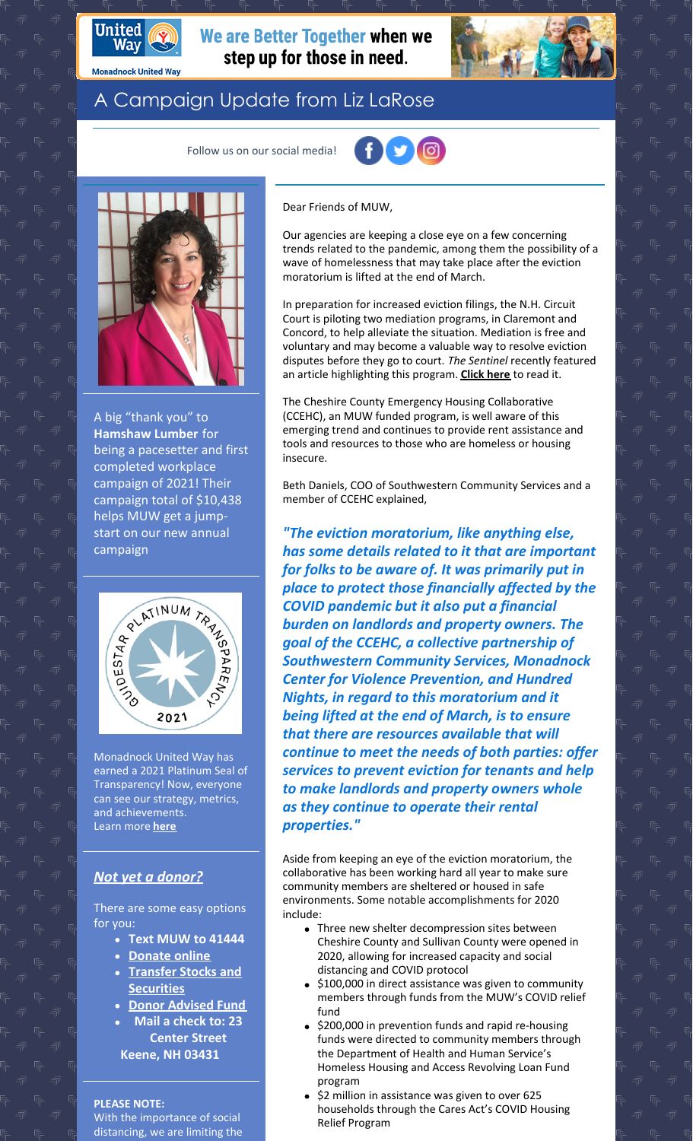

**Monadnock United Way** 

We are Better Together when we step up for those in need.



## A Campaign Update from Liz LaRose

Follow us on our social media!





A big "thank you" to **Hamshaw Lumber** for being a pacesetter and first completed workplace campaign of 2021! Their campaign total of \$10,438 helps MUW get a jumpstart on our new annual campaign



Monadnock United Way has earned a 2021 Platinum Seal of Transparency! Now, everyone can see our strategy, metrics, and achievements. Learn more **[here](https://www.guidestar.org/profile/02-0236885)**

## *Not yet a [donor?](https://app.mobilecause.com/f/2vgz/n?reset=1&%253Bid=1&vid=cdoig)*

There are some easy options for you:

- **Text MUW to 41444**
- **[Donate](https://app.mobilecause.com/f/2vgz/n?reset=1&%253Bid=1&vid=b348n) online**
- **Transfer Stocks and [Securities](https://www.muw.org/planned-giving#stocks)**
- **Donor [Advised](https://www.muw.org/planned-giving#DAF) Fund**
- **Mail a check to: 23 Center Street**
- **Keene, NH 03431**

**PLEASE NOTE:**

With the importance of social distancing, we are limiting the Dear Friends of MUW,

Our agencies are keeping a close eye on a few concerning trends related to the pandemic, among them the possibility of a wave of homelessness that may take place after the eviction moratorium is lifted at the end of March.

In preparation for increased eviction filings, the N.H. Circuit Court is piloting two mediation programs, in Claremont and Concord, to help alleviate the situation. Mediation is free and voluntary and may become a valuable way to resolve eviction disputes before they go to court. *The Sentinel* recently featured an article highlighting this program. **[Click](https://www.sentinelsource.com/news/local/nh-circuit-courts-launch-mediation-pilot-program-for-eviction-cases/article_28f2c835-5206-5a1e-8ffd-95a53500c05e.html) here** to read it.

The Cheshire County Emergency Housing Collaborative (CCEHC), an MUW funded program, is well aware of this emerging trend and continues to provide rent assistance and tools and resources to those who are homeless or housing insecure.

Beth Daniels, COO of Southwestern Community Services and a member of CCEHC explained,

*"The eviction moratorium, like anything else, has some details related to it that are important for folks to be aware of. It was primarily put in place to protect those financially affected by the COVID pandemic but it also put a financial burden on landlords and property owners. The goal of the CCEHC, a collective partnership of Southwestern Community Services, Monadnock Center for Violence Prevention, and Hundred Nights, in regard to this moratorium and it being lifted at the end of March, is to ensure that there are resources available that will continue to meet the needs of both parties: offer services to prevent eviction for tenants and help to make landlords and property owners whole as they continue to operate their rental properties."*

Aside from keeping an eye of the eviction moratorium, the collaborative has been working hard all year to make sure community members are sheltered or housed in safe environments. Some notable accomplishments for 2020 include:

- Three new shelter decompression sites between Cheshire County and Sullivan County were opened in 2020, allowing for increased capacity and social distancing and COVID protocol
- \$100,000 in direct assistance was given to community members through funds from the MUW's COVID relief fund
- \$200,000 in prevention funds and rapid re-housing funds were directed to community members through the Department of Health and Human Service's Homeless Housing and Access Revolving Loan Fund program
- \$2 million in assistance was given to over 625 households through the Cares Act's COVID Housing Relief Program